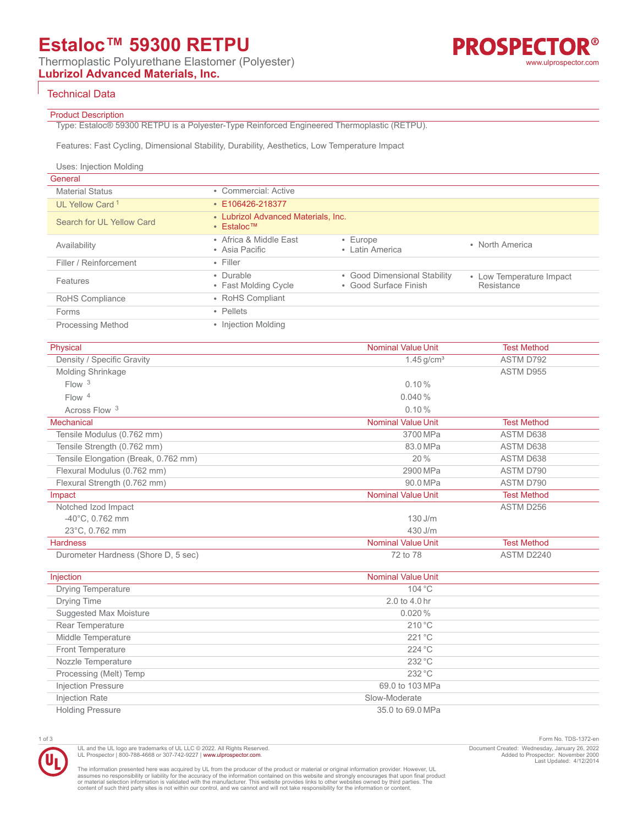# **Estaloc™ 59300 RETPU**

Thermoplastic Polyurethane Elastomer (Polyester)

**Lubrizol Advanced Materials, Inc.**

### R® **PROSPECTO** [www.ulprospector.com](http://www.ulprospector.com)

### Technical Data

### Product Description

Type: Estaloc® 59300 RETPU is a Polyester-Type Reinforced Engineered Thermoplastic (RETPU).

Features: Fast Cycling, Dimensional Stability, Durability, Aesthetics, Low Temperature Impact

| Uses: Injection Molding     |                                                                      |                                                       |                                        |
|-----------------------------|----------------------------------------------------------------------|-------------------------------------------------------|----------------------------------------|
| General                     |                                                                      |                                                       |                                        |
| <b>Material Status</b>      | • Commercial: Active                                                 |                                                       |                                        |
| UL Yellow Card <sup>1</sup> | $\cdot$ E106426-218377                                               |                                                       |                                        |
| Search for UL Yellow Card   | • Lubrizol Advanced Materials, Inc.<br>$\cdot$ Estaloc <sup>TM</sup> |                                                       |                                        |
| Availability                | • Africa & Middle East<br>• Asia Pacific                             | $\cdot$ Europe<br>• Latin America                     | • North America                        |
| Filler / Reinforcement      | $\cdot$ Filler                                                       |                                                       |                                        |
| Features                    | • Durable<br>• Fast Molding Cycle                                    | • Good Dimensional Stability<br>• Good Surface Finish | • Low Temperature Impact<br>Resistance |
| RoHS Compliance             | • RoHS Compliant                                                     |                                                       |                                        |
| Forms                       | • Pellets                                                            |                                                       |                                        |
| <b>Processing Method</b>    | • Injection Molding                                                  |                                                       |                                        |

| Physical                             | <b>Nominal Value Unit</b> | <b>Test Method</b> |
|--------------------------------------|---------------------------|--------------------|
| Density / Specific Gravity           | $1.45$ g/cm <sup>3</sup>  | ASTM D792          |
| Molding Shrinkage                    |                           | ASTM D955          |
| Flow <sup>3</sup>                    | 0.10%                     |                    |
| Flow <sup>4</sup>                    | 0.040%                    |                    |
| Across Flow <sup>3</sup>             | 0.10%                     |                    |
| <b>Mechanical</b>                    | <b>Nominal Value Unit</b> | <b>Test Method</b> |
| Tensile Modulus (0.762 mm)           | 3700 MPa                  | ASTM D638          |
| Tensile Strength (0.762 mm)          | 83.0 MPa                  | ASTM D638          |
| Tensile Elongation (Break, 0.762 mm) | 20%                       | ASTM D638          |
| Flexural Modulus (0.762 mm)          | 2900 MPa                  | ASTM D790          |
| Flexural Strength (0.762 mm)         | 90.0 MPa                  | ASTM D790          |
| Impact                               | <b>Nominal Value Unit</b> | <b>Test Method</b> |
| Notched Izod Impact                  |                           | ASTM D256          |
| $-40^{\circ}$ C, 0.762 mm            | $130$ J/m                 |                    |
| 23°C, 0.762 mm                       | $430$ J/m                 |                    |
| <b>Hardness</b>                      | <b>Nominal Value Unit</b> | <b>Test Method</b> |
| Durometer Hardness (Shore D, 5 sec)  | 72 to 78                  | ASTM D2240         |

| Injection                 | <b>Nominal Value Unit</b> |  |
|---------------------------|---------------------------|--|
| <b>Drying Temperature</b> | 104 °C                    |  |
| Drying Time               | 2.0 to 4.0 hr             |  |
| Suggested Max Moisture    | 0.020%                    |  |
| Rear Temperature          | 210 °C                    |  |
| Middle Temperature        | 221 °C                    |  |
| <b>Front Temperature</b>  | 224 °C                    |  |
| Nozzle Temperature        | 232 °C                    |  |
| Processing (Melt) Temp    | 232 °C                    |  |
| <b>Injection Pressure</b> | 69.0 to 103 MPa           |  |
| Injection Rate            | Slow-Moderate             |  |
| <b>Holding Pressure</b>   | 35.0 to 69.0 MPa          |  |



UL and the UL logo are trademarks of UL LLC © 2022. All Rights Reserved. UL Prospector | 800-788-4668 or 307-742-9227 | [www.ulprospector.com](http://www.ulprospector.com).

1 of 3 Form No. TDS-1372-en Document Created: Wednesday, January 26, 2022 Added to Prospector: November 2000 Last Updated: 4/12/2014

The information presented here was acquired by UL from the producer of the product or material or original information provider. However, UL<br>assumes no responsibility or liability for the accuracy of the information contai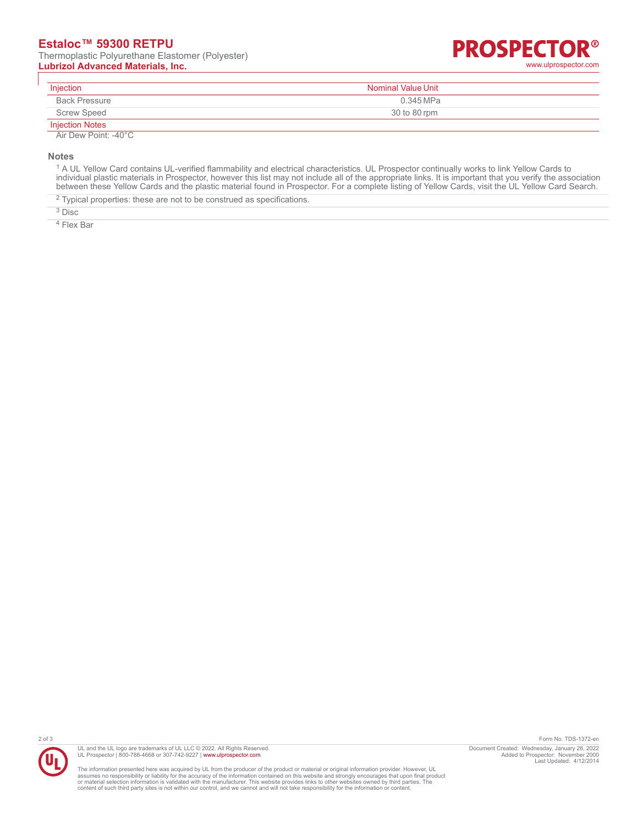**Lubrizol Advanced Materials, Inc.** [www.ulprospector.com](http://www.ulprospector.com)

## R® **PROSPECTO**

| Injection              | Nominal Value Unit |
|------------------------|--------------------|
| <b>Back Pressure</b>   | 0.345 MPa          |
| <b>Screw Speed</b>     | 30 to 80 rpm       |
| <b>Injection Notes</b> |                    |

Air Dew Point: -40°C

**Notes**

<sup>1</sup> A UL Yellow Card contains UL-verified flammability and electrical characteristics. UL Prospector continually works to link Yellow Cards to individual plastic materials in Prospector, however this list may not include all of the appropriate links. It is important that you verify the association between these Yellow Cards and the plastic material found in Prospector. For a complete listing of Yellow Cards, visit the UL Yellow Card Search.

 $2$  Typical properties: these are not to be construed as specifications.

3 Disc

4 Flex Bar



UL and the UL logo are trademarks of UL LLC © 2022. All Rights Reserved. UL Prospector | 800-788-4668 or 307-742-9227 | [www.ulprospector.com](http://www.ulprospector.com).

The information presented here was acquired by UL from the producer of the product or material or original information provider. However, UL<br>assumes no responsibility or liability for the accuracy of the information contai

2 of 3 Form No. TDS-1372-en Document Created: Wednesday, January 26, 2022 Added to Prospector: November 2000 Last Updated: 4/12/2014